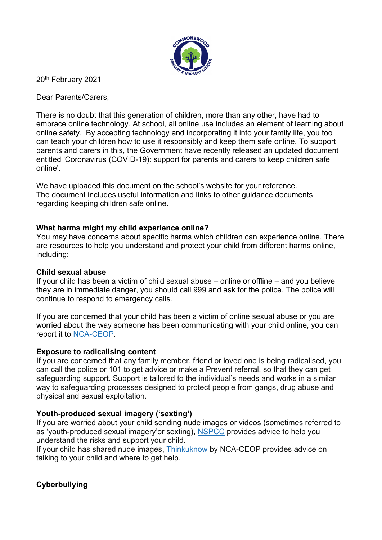

20<sup>th</sup> February 2021

Dear Parents/Carers,

There is no doubt that this generation of children, more than any other, have had to embrace online technology. At school, all online use includes an element of learning about online safety. By accepting technology and incorporating it into your family life, you too can teach your children how to use it responsibly and keep them safe online. To support parents and carers in this, the Government have recently released an updated document entitled 'Coronavirus (COVID-19): support for parents and carers to keep children safe online'.

We have uploaded this document on the school's website for your reference. The document includes useful information and links to other guidance documents regarding keeping children safe online.

## What harms might my child experience online?

You may have concerns about specific harms which children can experience online. There are resources to help you understand and protect your child from different harms online, including:

### Child sexual abuse

If your child has been a victim of child sexual abuse – online or offline – and you believe they are in immediate danger, you should call 999 and ask for the police. The police will continue to respond to emergency calls.

If you are concerned that your child has been a victim of online sexual abuse or you are worried about the way someone has been communicating with your child online, you can report it to NCA-CEOP.

### Exposure to radicalising content

If you are concerned that any family member, friend or loved one is being radicalised, you can call the police or 101 to get advice or make a Prevent referral, so that they can get safeguarding support. Support is tailored to the individual's needs and works in a similar way to safeguarding processes designed to protect people from gangs, drug abuse and physical and sexual exploitation.

# Youth-produced sexual imagery ('sexting')

If you are worried about your child sending nude images or videos (sometimes referred to as 'youth-produced sexual imagery'or sexting), NSPCC provides advice to help you understand the risks and support your child.

If your child has shared nude images, Thinkuknow by NCA-CEOP provides advice on talking to your child and where to get help.

# Cyberbullying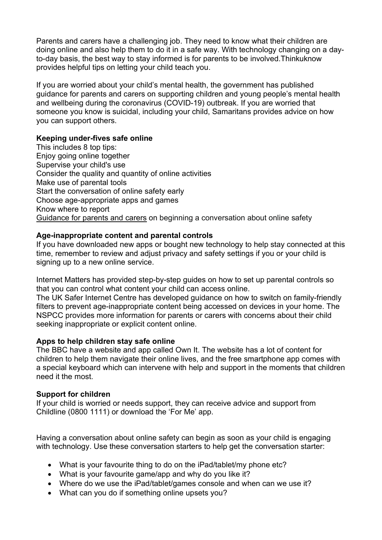Parents and carers have a challenging job. They need to know what their children are doing online and also help them to do it in a safe way. With technology changing on a dayto-day basis, the best way to stay informed is for parents to be involved.Thinkuknow provides helpful tips on letting your child teach you.

If you are worried about your child's mental health, the government has published guidance for parents and carers on supporting children and young people's mental health and wellbeing during the coronavirus (COVID-19) outbreak. If you are worried that someone you know is suicidal, including your child, Samaritans provides advice on how you can support others.

## Keeping under-fives safe online

This includes 8 top tips: Enjoy going online together Supervise your child's use Consider the quality and quantity of online activities Make use of parental tools Start the conversation of online safety early Choose age-appropriate apps and games Know where to report Guidance for parents and carers on beginning a conversation about online safety

## Age-inappropriate content and parental controls

If you have downloaded new apps or bought new technology to help stay connected at this time, remember to review and adjust privacy and safety settings if you or your child is signing up to a new online service.

Internet Matters has provided step-by-step guides on how to set up parental controls so that you can control what content your child can access online.

The UK Safer Internet Centre has developed guidance on how to switch on family-friendly filters to prevent age-inappropriate content being accessed on devices in your home. The NSPCC provides more information for parents or carers with concerns about their child seeking inappropriate or explicit content online.

### Apps to help children stay safe online

The BBC have a website and app called Own It. The website has a lot of content for children to help them navigate their online lives, and the free smartphone app comes with a special keyboard which can intervene with help and support in the moments that children need it the most.

### Support for children

If your child is worried or needs support, they can receive advice and support from Childline (0800 1111) or download the 'For Me' app.

Having a conversation about online safety can begin as soon as your child is engaging with technology. Use these conversation starters to help get the conversation starter:

- What is your favourite thing to do on the iPad/tablet/my phone etc?
- What is your favourite game/app and why do you like it?
- Where do we use the iPad/tablet/games console and when can we use it?
- What can you do if something online upsets you?